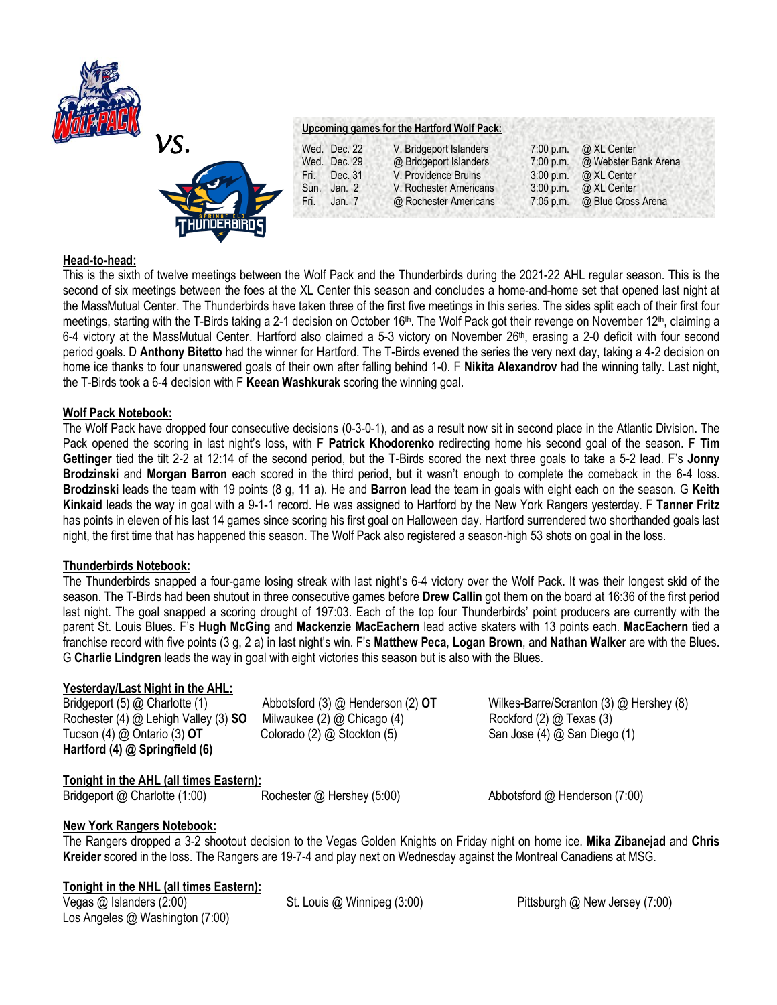



# **Upcoming games for the Hartford Wolf Pack:**

|      | Wed. Dec. 22 | V. Bridgeport Islanders | $7:00$ p.m. | @ XL Center          |  |
|------|--------------|-------------------------|-------------|----------------------|--|
|      | Wed. Dec. 29 | @ Bridgeport Islanders  | $7:00$ p.m. | @ Webster Bank Arena |  |
| Fri. | Dec. 31      | V. Providence Bruins    | $3:00$ p.m. | @ XL Center          |  |
| Sun. | Jan. $2$     | V. Rochester Americans  | $3:00$ p.m. | @ XL Center          |  |
| Fri. | Jan. $7$     | @ Rochester Americans   | $7:05$ p.m. | @ Blue Cross Arena   |  |
|      |              |                         |             |                      |  |

## **Head-to-head:**

This is the sixth of twelve meetings between the Wolf Pack and the Thunderbirds during the 2021-22 AHL regular season. This is the second of six meetings between the foes at the XL Center this season and concludes a home-and-home set that opened last night at the MassMutual Center. The Thunderbirds have taken three of the first five meetings in this series. The sides split each of their first four meetings, starting with the T-Birds taking a 2-1 decision on October 16<sup>th</sup>. The Wolf Pack got their revenge on November 12<sup>th</sup>, claiming a 6-4 victory at the MassMutual Center. Hartford also claimed a 5-3 victory on November  $26<sup>th</sup>$ , erasing a 2-0 deficit with four second period goals. D **Anthony Bitetto** had the winner for Hartford. The T-Birds evened the series the very next day, taking a 4-2 decision on home ice thanks to four unanswered goals of their own after falling behind 1-0. F **Nikita Alexandrov** had the winning tally. Last night, the T-Birds took a 6-4 decision with F **Keean Washkurak** scoring the winning goal.

## **Wolf Pack Notebook:**

The Wolf Pack have dropped four consecutive decisions (0-3-0-1), and as a result now sit in second place in the Atlantic Division. The Pack opened the scoring in last night's loss, with F **Patrick Khodorenko** redirecting home his second goal of the season. F **Tim Gettinger** tied the tilt 2-2 at 12:14 of the second period, but the T-Birds scored the next three goals to take a 5-2 lead. F's **Jonny Brodzinski** and **Morgan Barron** each scored in the third period, but it wasn't enough to complete the comeback in the 6-4 loss. **Brodzinski** leads the team with 19 points (8 g, 11 a). He and **Barron** lead the team in goals with eight each on the season. G **Keith Kinkaid** leads the way in goal with a 9-1-1 record. He was assigned to Hartford by the New York Rangers yesterday. F **Tanner Fritz**  has points in eleven of his last 14 games since scoring his first goal on Halloween day. Hartford surrendered two shorthanded goals last night, the first time that has happened this season. The Wolf Pack also registered a season-high 53 shots on goal in the loss.

## **Thunderbirds Notebook:**

The Thunderbirds snapped a four-game losing streak with last night's 6-4 victory over the Wolf Pack. It was their longest skid of the season. The T-Birds had been shutout in three consecutive games before **Drew Callin** got them on the board at 16:36 of the first period last night. The goal snapped a scoring drought of 197:03. Each of the top four Thunderbirds' point producers are currently with the parent St. Louis Blues. F's **Hugh McGing** and **Mackenzie MacEachern** lead active skaters with 13 points each. **MacEachern** tied a franchise record with five points (3 g, 2 a) in last night's win. F's **Matthew Peca**, **Logan Brown**, and **Nathan Walker** are with the Blues. G **Charlie Lindgren** leads the way in goal with eight victories this season but is also with the Blues.

## **Yesterday/Last Night in the AHL:**

Rochester (4) @ Lehigh Valley (3) **SO** Milwaukee (2) @ Chicago (4) Rockford (2) @ Texas (3) Tucson (4) @ Ontario (3) **OT** Colorado (2) @ Stockton (5) San Jose (4) @ San Diego (1) **Hartford (4) @ Springfield (6)**

Bridgeport (5) @ Charlotte (1)Abbotsford (3) @ Henderson (2) **OT** Wilkes-Barre/Scranton (3) @ Hershey (8)

# **Tonight in the AHL (all times Eastern):**

Bridgeport @ Charlotte (1:00)Rochester @ Hershey (5:00) Abbotsford @ Henderson (7:00)

## **New York Rangers Notebook:**

The Rangers dropped a 3-2 shootout decision to the Vegas Golden Knights on Friday night on home ice. **Mika Zibanejad** and **Chris Kreider** scored in the loss. The Rangers are 19-7-4 and play next on Wednesday against the Montreal Canadiens at MSG.

## **Tonight in the NHL (all times Eastern):**

Vegas @ Islanders (2:00)St. Louis @ Winnipeg (3:00) Pittsburgh @ New Jersey (7:00) Los Angeles @ Washington (7:00)